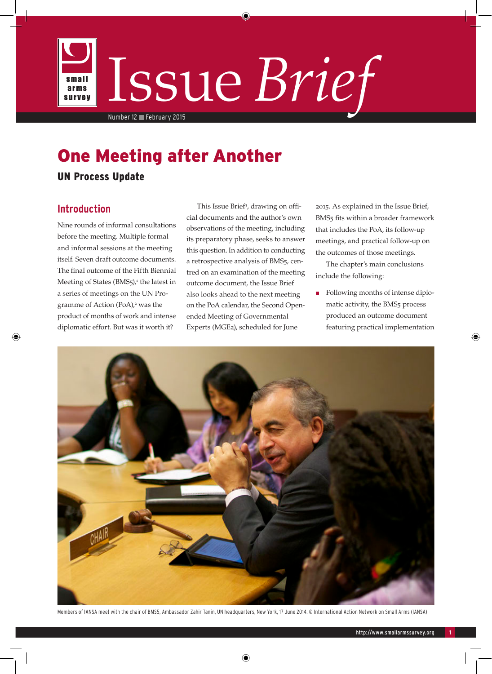

# One Meeting after Another

## UN Process Update

# **Introduction**

Nine rounds of informal consultations before the meeting. Multiple formal and informal sessions at the meeting itself. Seven draft outcome documents. The final outcome of the Fifth Biennial Meeting of States (BMS<sub>5</sub>),<sup>1</sup> the latest in a series of meetings on the UN Programme of Action (PoA),<sup>2</sup> was the product of months of work and intense diplomatic effort. But was it worth it?

This Issue Brief<sup>3</sup>, drawing on official documents and the author's own observations of the meeting, including its preparatory phase, seeks to answer this question. In addition to conducting a retrospective analysis of BMS5, centred on an examination of the meeting outcome document, the Issue Brief also looks ahead to the next meeting on the PoA calendar, the Second Openended Meeting of Governmental Experts (MGE2), scheduled for June

2015. As explained in the Issue Brief, BMS5 fits within a broader framework that includes the PoA, its follow-up meetings, and practical follow-up on the outcomes of those meetings.

The chapter's main conclusions include the following:

Following months of intense diplo-Ē. matic activity, the BMS5 process produced an outcome document featuring practical implementation



Members of IANSA meet with the chair of BMS5, Ambassador Zahir Tanin, UN headquarters, New York, 17 June 2014. © International Action Network on Small Arms (IANSA)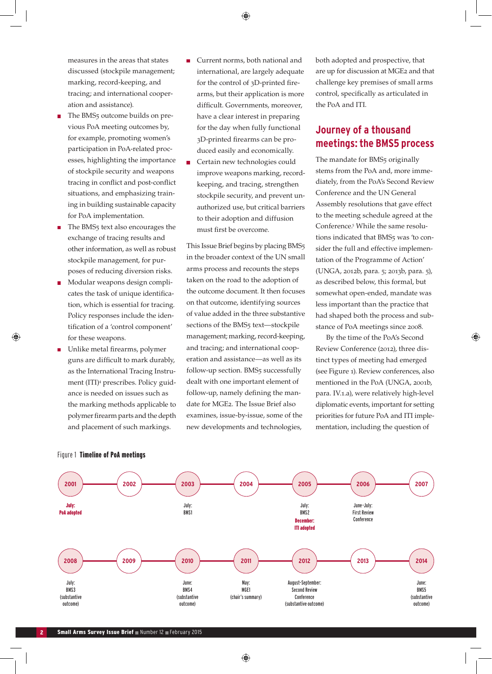measures in the areas that states discussed (stockpile management; marking, record-keeping, and tracing; and international cooperation and assistance).

- The BMS5 outcome builds on pre- $\blacksquare$ vious PoA meeting outcomes by, for example, promoting women's participation in PoA-related processes, highlighting the importance of stockpile security and weapons tracing in conflict and post-conflict situations, and emphasizing training in building sustainable capacity for PoA implementation.
- The BMS<sub>5</sub> text also encourages the exchange of tracing results and other information, as well as robust stockpile management, for purposes of reducing diversion risks.
- Modular weapons design complicates the task of unique identification, which is essential for tracing. Policy responses include the identification of a 'control component' for these weapons.
- Unlike metal firearms, polymer guns are difficult to mark durably, as the International Tracing Instrument (ITI)4 prescribes. Policy guidance is needed on issues such as the marking methods applicable to polymer firearm parts and the depth and placement of such markings.
- Current norms, both national and  $\blacksquare$ international, are largely adequate for the control of 3D-printed firearms, but their application is more difficult. Governments, moreover, have a clear interest in preparing for the day when fully functional 3D-printed firearms can be produced easily and economically.
- Certain new technologies could  $\blacksquare$ improve weapons marking, recordkeeping, and tracing, strengthen stockpile security, and prevent unauthorized use, but critical barriers to their adoption and diffusion must first be overcome.

This Issue Brief begins by placing BMS5 in the broader context of the UN small arms process and recounts the steps taken on the road to the adoption of the outcome document. It then focuses on that outcome, identifying sources of value added in the three substantive sections of the BMS5 text—stockpile management; marking, record-keeping, and tracing; and international cooperation and assistance—as well as its follow-up section. BMS5 successfully dealt with one important element of follow-up, namely defining the mandate for MGE2. The Issue Brief also examines, issue-by-issue, some of the new developments and technologies,

both adopted and prospective, that are up for discussion at MGE2 and that challenge key premises of small arms control, specifically as articulated in the PoA and ITI.

# **Journey of a thousand meetings: the BMS5 process**

The mandate for BMS5 originally stems from the PoA and, more immediately, from the PoA's Second Review Conference and the UN General Assembly resolutions that gave effect to the meeting schedule agreed at the Conference.5 While the same resolutions indicated that BMS5 was 'to consider the full and effective implementation of the Programme of Action' (UNGA, 2012b, para. 5; 2013b, para. 5), as described below, this formal, but somewhat open-ended, mandate was less important than the practice that had shaped both the process and substance of PoA meetings since 2008.

By the time of the PoA's Second Review Conference (2012), three distinct types of meeting had emerged (see Figure 1). Review conferences, also mentioned in the PoA (UNGA, 2001b, para. IV.1.a), were relatively high-level diplomatic events, important for setting priorities for future PoA and ITI implementation, including the question of



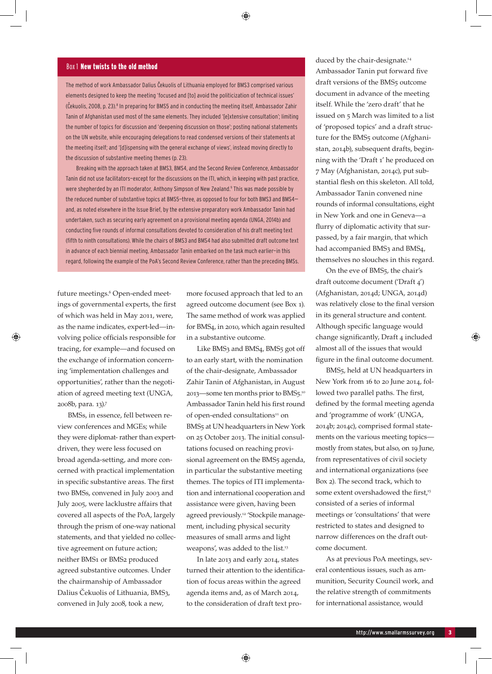#### Box 1 New twists to the old method

The method of work Ambassador Dalius Čekuolis of Lithuania employed for BMS3 comprised various elements designed to keep the meeting 'focused and [to] avoid the politicization of technical issues' (Čekuolis, 2008, p. 23).<sup>8</sup> In preparing for BMS5 and in conducting the meeting itself, Ambassador Zahir Tanin of Afghanistan used most of the same elements. They included '[e]xtensive consultation'; limiting the number of topics for discussion and 'deepening discussion on those'; posting national statements on the UN website, while encouraging delegations to read condensed versions of their statements at the meeting itself; and '[d]ispensing with the general exchange of views', instead moving directly to the discussion of substantive meeting themes (p. 23).

Breaking with the approach taken at BMS3, BMS4, and the Second Review Conference, Ambassador Tanin did not use facilitators—except for the discussions on the ITI, which, in keeping with past practice, were shepherded by an ITI moderator, Anthony Simpson of New Zealand.9 This was made possible by the reduced number of substantive topics at BMS5—three, as opposed to four for both BMS3 and BMS4 and, as noted elsewhere in the Issue Brief, by the extensive preparatory work Ambassador Tanin had undertaken, such as securing early agreement on a provisional meeting agenda (UNGA, 2014b) and conducting five rounds of informal consultations devoted to consideration of his draft meeting text (fifth to ninth consultations). While the chairs of BMS3 and BMS4 had also submitted draft outcome text in advance of each biennial meeting, Ambassador Tanin embarked on the task much earlier—in this regard, following the example of the PoA's Second Review Conference, rather than the preceding BMSs.

future meetings.6 Open-ended meetings of governmental experts, the first of which was held in May 2011, were, as the name indicates, expert-led—involving police officials responsible for tracing, for example—and focused on the exchange of information concerning 'implementation challenges and opportunities', rather than the negotiation of agreed meeting text (UNGA, 2008b, para. 13).7

BMSs, in essence, fell between review conferences and MGEs; while they were diplomat- rather than expertdriven, they were less focused on broad agenda-setting, and more concerned with practical implementation in specific substantive areas. The first two BMSs, convened in July 2003 and July 2005, were lacklustre affairs that covered all aspects of the PoA, largely through the prism of one-way national statements, and that yielded no collective agreement on future action; neither BMS1 or BMS2 produced agreed substantive outcomes. Under the chairmanship of Ambassador Dalius Čekuolis of Lithuania, BMS3, convened in July 2008, took a new,

more focused approach that led to an agreed outcome document (see Box 1). The same method of work was applied for BMS4, in 2010, which again resulted in a substantive outcome.

Like BMS<sub>3</sub> and BMS<sub>4</sub>, BMS<sub>5</sub> got off to an early start, with the nomination of the chair-designate, Ambassador Zahir Tanin of Afghanistan, in August 2013—some ten months prior to BMS5.10 Ambassador Tanin held his first round of open-ended consultations<sup>11</sup> on BMS5 at UN headquarters in New York on 25 October 2013. The initial consultations focused on reaching provisional agreement on the BMS5 agenda, in particular the substantive meeting themes. The topics of ITI implementation and international cooperation and assistance were given, having been agreed previously.12 'Stockpile management, including physical security measures of small arms and light weapons', was added to the list.13

In late 2013 and early 2014, states turned their attention to the identification of focus areas within the agreed agenda items and, as of March 2014, to the consideration of draft text produced by the chair-designate.<sup>14</sup> Ambassador Tanin put forward five draft versions of the BMS5 outcome document in advance of the meeting itself. While the 'zero draft' that he issued on 5 March was limited to a list of 'proposed topics' and a draft structure for the BMS<sub>5</sub> outcome (Afghanistan, 2014b), subsequent drafts, beginning with the 'Draft 1' he produced on 7 May (Afghanistan, 2014c), put substantial flesh on this skeleton. All told, Ambassador Tanin convened nine rounds of informal consultations, eight in New York and one in Geneva—a flurry of diplomatic activity that surpassed, by a fair margin, that which had accompanied BMS<sub>3</sub> and BMS<sub>4</sub>, themselves no slouches in this regard.

On the eve of BMS5, the chair's draft outcome document ('Draft 4') (Afghanistan, 2014d; UNGA, 2014d) was relatively close to the final version in its general structure and content. Although specific language would change significantly, Draft 4 included almost all of the issues that would figure in the final outcome document.

BMS5, held at UN headquarters in New York from 16 to 20 June 2014, followed two parallel paths. The first, defined by the formal meeting agenda and 'programme of work' (UNGA, 2014b; 2014c), comprised formal statements on the various meeting topics mostly from states, but also, on 19 June, from representatives of civil society and international organizations (see Box 2). The second track, which to some extent overshadowed the first,<sup>15</sup> consisted of a series of informal meetings or 'consultations' that were restricted to states and designed to narrow differences on the draft outcome document.

As at previous PoA meetings, several contentious issues, such as ammunition, Security Council work, and the relative strength of commitments for international assistance, would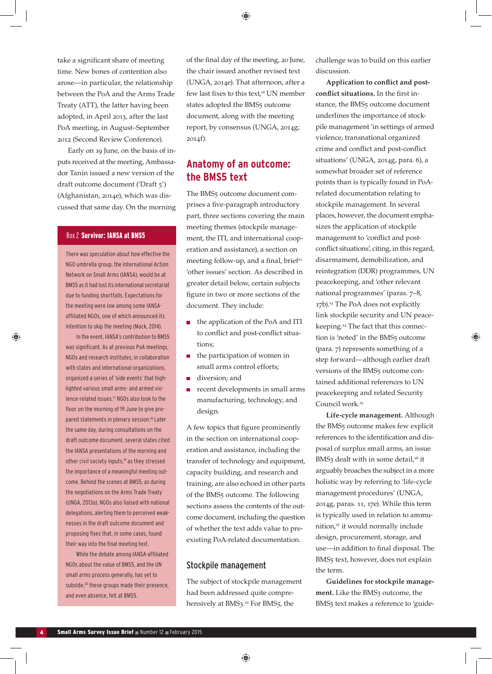take a significant share of meeting time. New bones of contention also arose—in particular, the relationship between the PoA and the Arms Trade Treaty (ATT), the latter having been adopted, in April 2013, after the last PoA meeting, in August–September 2012 (Second Review Conference).

Early on 19 June, on the basis of inputs received at the meeting, Ambassador Tanin issued a new version of the draft outcome document ('Draft 5') (Afghanistan, 2014e), which was discussed that same day. On the morning

#### Box 2 Survivor: IANSA at BMS5

There was speculation about how effective the NGO umbrella group, the International Action Network on Small Arms (IANSA), would be at BMS5 as it had lost its international secretariat due to funding shortfalls. Expectations for the meeting were low among some IANSAaffiliated NGOs, one of which announced its intention to skip the meeting (Mack, 2014).

In the event, IANSA's contribution to BMS5 was significant. As at previous PoA meetings, NGOs and research institutes, in collaboration with states and international organizations, organized a series of 'side events' that highlighted various small arms- and armed violence-related issues.17 NGOs also took to the floor on the morning of 19 June to give prepared statements in plenary session.18 Later the same day, during consultations on the draft outcome document, several states cited the IANSA presentations of the morning and other civil society inputs,<sup>19</sup> as they stressed the importance of a meaningful meeting outcome. Behind the scenes at BMS5, as during the negotiations on the Arms Trade Treaty (UNGA, 2013a), NGOs also liaised with national delegations, alerting them to perceived weaknesses in the draft outcome document and proposing fixes that, in some cases, found their way into the final meeting text.

While the debate among IANSA-affiliated NGOs about the value of BMS5, and the UN small arms process generally, has yet to subside,<sup>20</sup> these groups made their presence, and even absence, felt at BMS5.

of the final day of the meeting, 20 June, the chair issued another revised text (UNGA, 2014e). That afternoon, after a few last fixes to this text,<sup>16</sup> UN member states adopted the BMS5 outcome document, along with the meeting report, by consensus (UNGA, 2014g; 2014f).

# **Anatomy of an outcome: the BMS5 text**

The BMS5 outcome document comprises a five-paragraph introductory part, three sections covering the main meeting themes (stockpile management, the ITI, and international cooperation and assistance), a section on meeting follow-up, and a final, brief $21$ 'other issues' section. As described in greater detail below, certain subjects figure in two or more sections of the document. They include:

- the application of the PoA and ITI  $\mathcal{L}_{\mathcal{A}}$ to conflict and post-conflict situations;
- $\blacksquare$  the participation of women in small arms control efforts;
- diversion: and
- recent developments in small arms  $\blacksquare$ manufacturing, technology, and design.

A few topics that figure prominently in the section on international cooperation and assistance, including the transfer of technology and equipment, capacity building, and research and training, are also echoed in other parts of the BMS5 outcome. The following sections assess the contents of the outcome document, including the question of whether the text adds value to preexisting PoA-related documentation.

#### Stockpile management

The subject of stockpile management had been addressed quite comprehensively at BMS<sub>3</sub>.<sup>22</sup> For BMS<sub>5</sub>, the

challenge was to build on this earlier discussion.

**Application to conflict and postconflict situations.** In the first instance, the BMS5 outcome document underlines the importance of stockpile management 'in settings of armed violence, transnational organized crime and conflict and post-conflict situations' (UNGA, 2014g, para. 6), a somewhat broader set of reference points than is typically found in PoArelated documentation relating to stockpile management. In several places, however, the document emphasizes the application of stockpile management to 'conflict and postconflict situations', citing, in this regard, disarmament, demobilization, and reintegration (DDR) programmes, UN peacekeeping, and 'other relevant national programmes' (paras. 7–8, 17b).<sup>23</sup> The PoA does not explicitly link stockpile security and UN peacekeeping.24 The fact that this connection is 'noted' in the BMS5 outcome (para. 7) represents something of a step forward—although earlier draft versions of the BMS5 outcome contained additional references to UN peacekeeping and related Security Council work.<sup>25</sup>

**Life-cycle management.** Although the BMS5 outcome makes few explicit references to the identification and disposal of surplus small arms, an issue BMS3 dealt with in some detail, $26$  it arguably broaches the subject in a more holistic way by referring to 'life-cycle management procedures' (UNGA, 2014g, paras. 11, 17e). While this term is typically used in relation to ammunition,<sup>27</sup> it would normally include design, procurement, storage, and use—in addition to final disposal. The BMS5 text, however, does not explain the term.

**Guidelines for stockpile management.** Like the BMS3 outcome, the BMS<sub>5</sub> text makes a reference to 'guide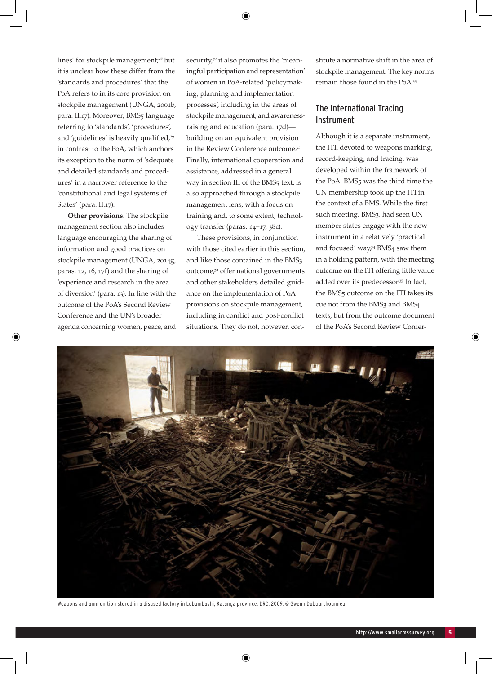lines' for stockpile management;<sup>28</sup> but it is unclear how these differ from the 'standards and procedures' that the PoA refers to in its core provision on stockpile management (UNGA, 2001b, para. II.17). Moreover, BMS5 language referring to 'standards', 'procedures', and 'guidelines' is heavily qualified,<sup>29</sup> in contrast to the PoA, which anchors its exception to the norm of 'adequate and detailed standards and procedures' in a narrower reference to the 'constitutional and legal systems of States' (para. II.17).

**Other provisions.** The stockpile management section also includes language encouraging the sharing of information and good practices on stockpile management (UNGA, 2014g, paras. 12, 16, 17f) and the sharing of 'experience and research in the area of diversion' (para. 13). In line with the outcome of the PoA's Second Review Conference and the UN's broader agenda concerning women, peace, and security,<sup>30</sup> it also promotes the 'meaningful participation and representation' of women in PoA-related 'policymaking, planning and implementation processes', including in the areas of stockpile management, and awarenessraising and education (para. 17d) building on an equivalent provision in the Review Conference outcome.<sup>31</sup> Finally, international cooperation and assistance, addressed in a general way in section III of the BMS<sub>5</sub> text, is also approached through a stockpile management lens, with a focus on training and, to some extent, technology transfer (paras. 14–17, 38c).

These provisions, in conjunction with those cited earlier in this section, and like those contained in the BMS3 outcome,<sup>32</sup> offer national governments and other stakeholders detailed guidance on the implementation of PoA provisions on stockpile management, including in conflict and post-conflict situations. They do not, however, constitute a normative shift in the area of stockpile management. The key norms remain those found in the PoA.33

### The International Tracing **Instrument**

Although it is a separate instrument, the ITI, devoted to weapons marking, record-keeping, and tracing, was developed within the framework of the PoA. BMS5 was the third time the UN membership took up the ITI in the context of a BMS. While the first such meeting, BMS3, had seen UN member states engage with the new instrument in a relatively 'practical and focused' way,<sup>34</sup> BMS<sub>4</sub> saw them in a holding pattern, with the meeting outcome on the ITI offering little value added over its predecessor.35 In fact, the BMS5 outcome on the ITI takes its cue not from the BMS<sub>3</sub> and BMS<sub>4</sub> texts, but from the outcome document of the PoA's Second Review Confer-



Weapons and ammunition stored in a disused factory in Lubumbashi, Katanga province, DRC, 2009. © Gwenn Dubourthoumieu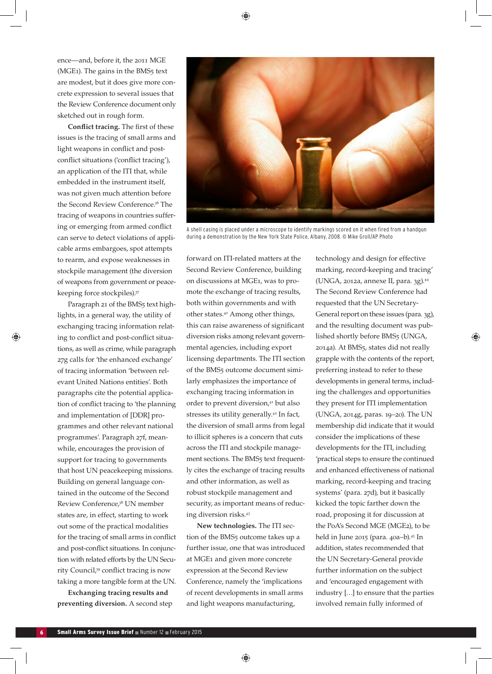ence—and, before it, the 2011 MGE (MGE1). The gains in the BMS5 text are modest, but it does give more concrete expression to several issues that the Review Conference document only sketched out in rough form.

**Conflict tracing.** The first of these issues is the tracing of small arms and light weapons in conflict and postconflict situations ('conflict tracing'), an application of the ITI that, while embedded in the instrument itself, was not given much attention before the Second Review Conference.<sup>36</sup> The tracing of weapons in countries suffering or emerging from armed conflict can serve to detect violations of applicable arms embargoes, spot attempts to rearm, and expose weaknesses in stockpile management (the diversion of weapons from government or peacekeeping force stockpiles).37

Paragraph 21 of the BMS5 text highlights, in a general way, the utility of exchanging tracing information relating to conflict and post-conflict situations, as well as crime, while paragraph 27g calls for 'the enhanced exchange' of tracing information 'between relevant United Nations entities'. Both paragraphs cite the potential application of conflict tracing to 'the planning and implementation of [DDR] programmes and other relevant national programmes'. Paragraph 27f, meanwhile, encourages the provision of support for tracing to governments that host UN peacekeeping missions. Building on general language contained in the outcome of the Second Review Conference,38 UN member states are, in effect, starting to work out some of the practical modalities for the tracing of small arms in conflict and post-conflict situations. In conjunction with related efforts by the UN Security Council,39 conflict tracing is now taking a more tangible form at the UN.

**Exchanging tracing results and preventing diversion.** A second step



A shell casing is placed under a microscope to identify markings scored on it when fired from a handgun during a demonstration by the New York State Police, Albany, 2008. © Mike Groll/AP Photo

forward on ITI-related matters at the Second Review Conference, building on discussions at MGE1, was to promote the exchange of tracing results, both within governments and with other states.40 Among other things, this can raise awareness of significant diversion risks among relevant governmental agencies, including export licensing departments. The ITI section of the BMS5 outcome document similarly emphasizes the importance of exchanging tracing information in order to prevent diversion,<sup>41</sup> but also stresses its utility generally.42 In fact, the diversion of small arms from legal to illicit spheres is a concern that cuts across the ITI and stockpile management sections. The BMS<sub>5</sub> text frequently cites the exchange of tracing results and other information, as well as robust stockpile management and security, as important means of reducing diversion risks.43

**New technologies.** The ITI section of the BMS5 outcome takes up a further issue, one that was introduced at MGE1 and given more concrete expression at the Second Review Conference, namely the 'implications of recent developments in small arms and light weapons manufacturing,

technology and design for effective marking, record-keeping and tracing' (UNGA, 2012a, annexe II, para. 3g).44 The Second Review Conference had requested that the UN Secretary-General report on these issues (para. 3g), and the resulting document was published shortly before BMS5 (UNGA, 2014a). At BMS5, states did not really grapple with the contents of the report, preferring instead to refer to these developments in general terms, including the challenges and opportunities they present for ITI implementation (UNGA, 2014g, paras. 19–20). The UN membership did indicate that it would consider the implications of these developments for the ITI, including 'practical steps to ensure the continued and enhanced effectiveness of national marking, record-keeping and tracing systems' (para. 27d), but it basically kicked the topic farther down the road, proposing it for discussion at the PoA's Second MGE (MGE2), to be held in June 2015 (para. 40a-b).<sup>45</sup> In addition, states recommended that the UN Secretary-General provide further information on the subject and 'encouraged engagement with industry […] to ensure that the parties involved remain fully informed of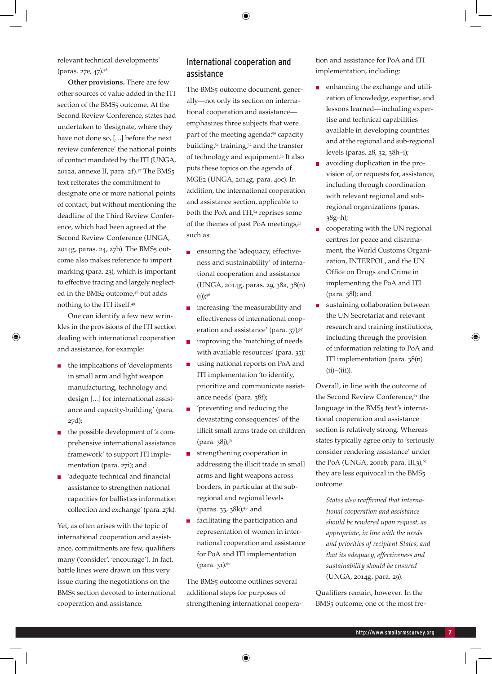relevant technical developments' (paras. 27e, 47).46

**Other provisions.** There are few other sources of value added in the ITI section of the BMS5 outcome. At the Second Review Conference, states had undertaken to 'designate, where they have not done so, […] before the next review conference' the national points of contact mandated by the ITI (UNGA, 2012a, annexe II, para. 2f).47 The BMS5 text reiterates the commitment to designate one or more national points of contact, but without mentioning the deadline of the Third Review Conference, which had been agreed at the Second Review Conference (UNGA, 2014g, paras. 24, 27h). The BMS5 outcome also makes reference to import marking (para. 23), which is important to effective tracing and largely neglected in the BMS<sub>4</sub> outcome,<sup>48</sup> but adds nothing to the ITI itself.49

One can identify a few new wrinkles in the provisions of the ITI section dealing with international cooperation and assistance, for example:

- the implications of 'developments in small arm and light weapon manufacturing, technology and design […] for international assistance and capacity-building' (para. 27d);
- the possible development of 'a comprehensive international assistance framework' to support ITI implementation (para. 27i); and
- 'adequate technical and financial assistance to strengthen national capacities for ballistics information collection and exchange' (para. 27k).

Yet, as often arises with the topic of international cooperation and assistance, commitments are few, qualifiers many ('consider', 'encourage'). In fact, battle lines were drawn on this very issue during the negotiations on the BMS5 section devoted to international cooperation and assistance.

## International cooperation and assistance

The BMS5 outcome document, generally—not only its section on international cooperation and assistance emphasizes three subjects that were part of the meeting agenda:<sup>50</sup> capacity building, $51$  training, $52$  and the transfer of technology and equipment.53 It also puts these topics on the agenda of MGE2 (UNGA, 2014g, para. 40c). In addition, the international cooperation and assistance section, applicable to both the PoA and ITI,<sup>54</sup> reprises some of the themes of past PoA meetings,<sup>55</sup> such as:

- **E** ensuring the 'adequacy, effectiveness and sustainability' of international cooperation and assistance (UNGA, 2014g, paras. 29, 38a, 38(n)  $(i))$ ;<sup>56</sup>
- **n** increasing 'the measurability and effectiveness of international cooperation and assistance' (para. 37);<sup>57</sup>
- improving the 'matching of needs with available resources' (para. 35);
- using national reports on PoA and  $\mathcal{L}_{\mathcal{A}}$ ITI implementation 'to identify, prioritize and communicate assistance needs' (para. 38f);
- 'preventing and reducing the  $\blacksquare$ devastating consequences' of the illicit small arms trade on children (para. 38j);58
- strengthening cooperation in  $\mathcal{L}_{\mathcal{A}}$ addressing the illicit trade in small arms and light weapons across borders, in particular at the subregional and regional levels (paras. 33, 38k);<sup>59</sup> and
- facilitating the participation and representation of women in international cooperation and assistance for PoA and ITI implementation (para. 31).<sup>60</sup>

The BMS5 outcome outlines several additional steps for purposes of strengthening international cooperation and assistance for PoA and ITI implementation, including:

- enhancing the exchange and utilization of knowledge, expertise, and lessons learned—including expertise and technical capabilities available in developing countries and at the regional and sub-regional levels (paras. 28, 32, 38h–i);
- avoiding duplication in the prom. vision of, or requests for, assistance, including through coordination with relevant regional and subregional organizations (paras. 38g–h);
- cooperating with the UN regional centres for peace and disarmament, the World Customs Organization, INTERPOL, and the UN Office on Drugs and Crime in implementing the PoA and ITI (para. 38l); and
- sustaining collaboration between the UN Secretariat and relevant research and training institutions, including through the provision of information relating to PoA and ITI implementation (para. 38(n) (ii)–(iii)).

Overall, in line with the outcome of the Second Review Conference,<sup>61</sup> the language in the BMS<sub>5</sub> text's international cooperation and assistance section is relatively strong. Whereas states typically agree only to 'seriously consider rendering assistance' under the PoA (UNGA, 2001b, para. III.3), $62$ they are less equivocal in the BMS5 outcome:

*States also reaffirmed that international cooperation and assistance should be rendered upon request, as appropriate, in line with the needs and priorities of recipient States, and that its adequacy, effectiveness and sustainability should be ensured*  (UNGA, 2014g, para. 29).

Qualifiers remain, however. In the BMS5 outcome, one of the most fre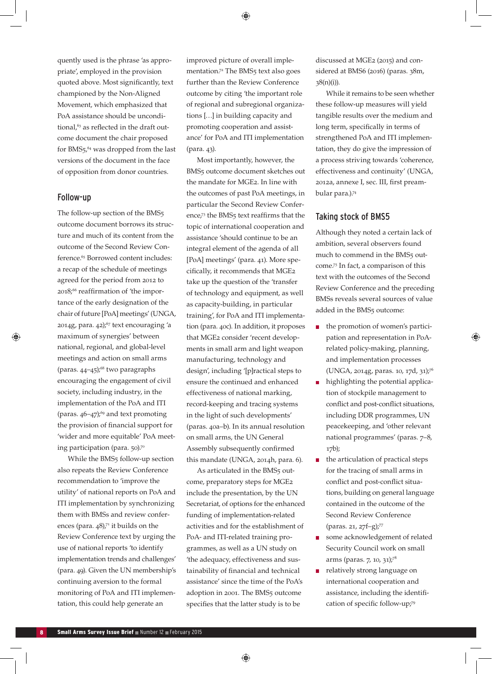quently used is the phrase 'as appropriate', employed in the provision quoted above. Most significantly, text championed by the Non-Aligned Movement, which emphasized that PoA assistance should be unconditional,<sup>63</sup> as reflected in the draft outcome document the chair proposed for BMS $5^{64}$  was dropped from the last versions of the document in the face of opposition from donor countries.

#### Follow-up

The follow-up section of the BMS5 outcome document borrows its structure and much of its content from the outcome of the Second Review Conference.<sup>65</sup> Borrowed content includes: a recap of the schedule of meetings agreed for the period from 2012 to 2018;66 reaffirmation of 'the importance of the early designation of the chair of future [PoA] meetings' (UNGA, 2014g, para. 42);<sup>67</sup> text encouraging 'a maximum of synergies' between national, regional, and global-level meetings and action on small arms (paras.  $44-45$ );<sup>68</sup> two paragraphs encouraging the engagement of civil society, including industry, in the implementation of the PoA and ITI (paras.  $46-47$ );<sup>69</sup> and text promoting the provision of financial support for 'wider and more equitable' PoA meeting participation (para. 50).70

While the BMS5 follow-up section also repeats the Review Conference recommendation to 'improve the utility' of national reports on PoA and ITI implementation by synchronizing them with BMSs and review conferences (para.  $48$ ), $71$  it builds on the Review Conference text by urging the use of national reports 'to identify implementation trends and challenges' (para. 49). Given the UN membership's continuing aversion to the formal monitoring of PoA and ITI implementation, this could help generate an

improved picture of overall implementation.<sup>72</sup> The BMS<sub>5</sub> text also goes further than the Review Conference outcome by citing 'the important role of regional and subregional organizations […] in building capacity and promoting cooperation and assistance' for PoA and ITI implementation (para. 43).

Most importantly, however, the BMS5 outcome document sketches out the mandate for MGE2. In line with the outcomes of past PoA meetings, in particular the Second Review Conference<sup>73</sup> the BMS<sub>5</sub> text reaffirms that the topic of international cooperation and assistance 'should continue to be an integral element of the agenda of all [PoA] meetings' (para. 41). More specifically, it recommends that MGE2 take up the question of the 'transfer of technology and equipment, as well as capacity-building, in particular training', for PoA and ITI implementation (para. 40c). In addition, it proposes that MGE2 consider 'recent developments in small arm and light weapon manufacturing, technology and design', including '[p]ractical steps to ensure the continued and enhanced effectiveness of national marking, record-keeping and tracing systems in the light of such developments' (paras. 40a–b). In its annual resolution on small arms, the UN General Assembly subsequently confirmed this mandate (UNGA, 2014h, para. 6).

As articulated in the BMS5 outcome, preparatory steps for MGE2 include the presentation, by the UN Secretariat, of options for the enhanced funding of implementation-related activities and for the establishment of PoA- and ITI-related training programmes, as well as a UN study on 'the adequacy, effectiveness and sustainability of financial and technical assistance' since the time of the PoA's adoption in 2001. The BMS5 outcome specifies that the latter study is to be

discussed at MGE2 (2015) and considered at BMS6 (2016) (paras. 38m,  $38(n)(i)$ ).

While it remains to be seen whether these follow-up measures will yield tangible results over the medium and long term, specifically in terms of strengthened PoA and ITI implementation, they do give the impression of a process striving towards 'coherence, effectiveness and continuity' (UNGA, 2012a, annexe I, sec. III, first preambular para.).74

#### Taking stock of BMS5

Although they noted a certain lack of ambition, several observers found much to commend in the BMS5 outcome.75 In fact, a comparison of this text with the outcomes of the Second Review Conference and the preceding BMSs reveals several sources of value added in the BMS5 outcome:

- $\blacksquare$  the promotion of women's participation and representation in PoArelated policy-making, planning, and implementation processes (UNGA, 2014g, paras. 10, 17d, 31);76
- highlighting the potential application of stockpile management to conflict and post-conflict situations, including DDR programmes, UN peacekeeping, and 'other relevant national programmes' (paras. 7–8, 17b);
- the articulation of practical steps  $\blacksquare$ for the tracing of small arms in conflict and post-conflict situations, building on general language contained in the outcome of the Second Review Conference (paras. 21, 27f–g);77
- some acknowledgement of related Security Council work on small arms (paras. 7, 10, 31);<sup>78</sup>
- **relatively strong language on** international cooperation and assistance, including the identification of specific follow-up;79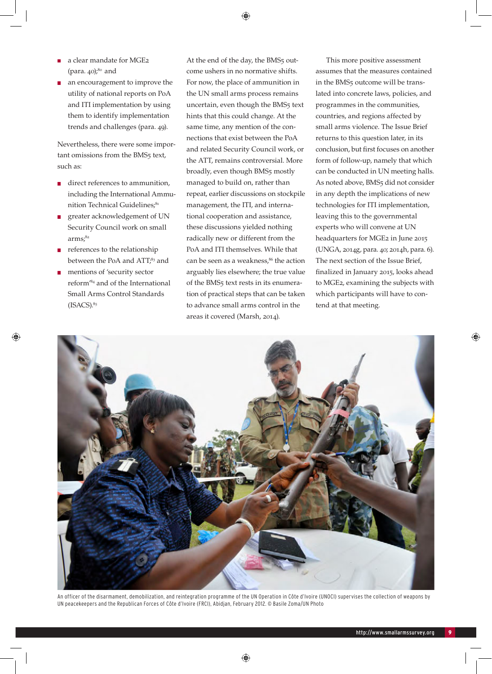- a clear mandate for MGE2 (para.  $40$ ); $80$  and
- **n** an encouragement to improve the utility of national reports on PoA and ITI implementation by using them to identify implementation trends and challenges (para. 49).

Nevertheless, there were some important omissions from the BMS5 text, such as:

- direct references to ammunition, including the International Ammunition Technical Guidelines;<sup>81</sup>
- **g** greater acknowledgement of UN Security Council work on small  $arms$ <sup>82</sup>
- $\blacksquare$  references to the relationship between the PoA and ATT<sup>,83</sup> and
- mentions of 'security sector reform'84 and of the International Small Arms Control Standards (ISACS).85

At the end of the day, the BMS5 outcome ushers in no normative shifts. For now, the place of ammunition in the UN small arms process remains uncertain, even though the BMS5 text hints that this could change. At the same time, any mention of the connections that exist between the PoA and related Security Council work, or the ATT, remains controversial. More broadly, even though BMS5 mostly managed to build on, rather than repeat, earlier discussions on stockpile management, the ITI, and international cooperation and assistance, these discussions yielded nothing radically new or different from the PoA and ITI themselves. While that can be seen as a weakness.<sup>86</sup> the action arguably lies elsewhere; the true value of the BMS5 text rests in its enumeration of practical steps that can be taken to advance small arms control in the areas it covered (Marsh, 2014).

This more positive assessment assumes that the measures contained in the BMS5 outcome will be translated into concrete laws, policies, and programmes in the communities, countries, and regions affected by small arms violence. The Issue Brief returns to this question later, in its conclusion, but first focuses on another form of follow-up, namely that which can be conducted in UN meeting halls. As noted above, BMS5 did not consider in any depth the implications of new technologies for ITI implementation, leaving this to the governmental experts who will convene at UN headquarters for MGE2 in June 2015 (UNGA, 2014g, para. 40; 2014h, para. 6). The next section of the Issue Brief, finalized in January 2015, looks ahead to MGE2, examining the subjects with which participants will have to contend at that meeting.



An officer of the disarmament, demobilization, and reintegration programme of the UN Operation in Côte d'Ivoire (UNOCI) supervises the collection of weapons by UN peacekeepers and the Republican Forces of Côte d'Ivoire (FRCI), Abidjan, February 2012. © Basile Zoma/UN Photo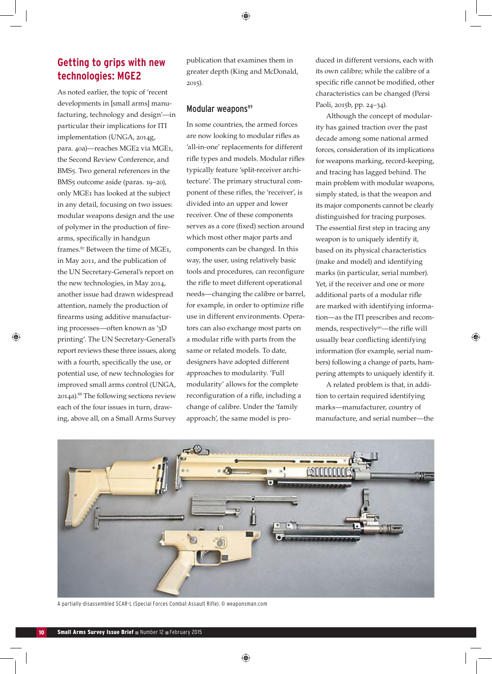# **Getting to grips with new technologies: MGE2**

As noted earlier, the topic of 'recent developments in [small arms] manufacturing, technology and design'—in particular their implications for ITI implementation (UNGA, 2014g, para. 40a)—reaches MGE2 via MGE1, the Second Review Conference, and BMS5. Two general references in the BMS5 outcome aside (paras. 19–20), only MGE1 has looked at the subject in any detail, focusing on two issues: modular weapons design and the use of polymer in the production of firearms, specifically in handgun frames.87 Between the time of MGE1, in May 2011, and the publication of the UN Secretary-General's report on the new technologies, in May 2014, another issue had drawn widespread attention, namely the production of firearms using additive manufacturing processes—often known as '3D printing'. The UN Secretary-General's report reviews these three issues, along with a fourth, specifically the use, or potential use, of new technologies for improved small arms control (UNGA, 2014a).88 The following sections review each of the four issues in turn, drawing, above all, on a Small Arms Survey publication that examines them in greater depth (King and McDonald, 2015).

#### Modular weapons<sup>89</sup>

In some countries, the armed forces are now looking to modular rifles as 'all-in-one' replacements for different rifle types and models. Modular rifles typically feature 'split-receiver architecture'. The primary structural component of these rifles, the 'receiver', is divided into an upper and lower receiver. One of these components serves as a core (fixed) section around which most other major parts and components can be changed. In this way, the user, using relatively basic tools and procedures, can reconfigure the rifle to meet different operational needs—changing the calibre or barrel, for example, in order to optimize rifle use in different environments. Operators can also exchange most parts on a modular rifle with parts from the same or related models. To date, designers have adopted different approaches to modularity. 'Full modularity' allows for the complete reconfiguration of a rifle, including a change of calibre. Under the 'family approach', the same model is produced in different versions, each with its own calibre; while the calibre of a specific rifle cannot be modified, other characteristics can be changed (Persi Paoli, 2015b, pp. 24–34).

Although the concept of modularity has gained traction over the past decade among some national armed forces, consideration of its implications for weapons marking, record-keeping, and tracing has lagged behind. The main problem with modular weapons, simply stated, is that the weapon and its major components cannot be clearly distinguished for tracing purposes. The essential first step in tracing any weapon is to uniquely identify it, based on its physical characteristics (make and model) and identifying marks (in particular, serial number). Yet, if the receiver and one or more additional parts of a modular rifle are marked with identifying information—as the ITI prescribes and recommends, respectively<sup>90</sup>—the rifle will usually bear conflicting identifying information (for example, serial numbers) following a change of parts, hampering attempts to uniquely identify it.

A related problem is that, in addition to certain required identifying marks—manufacturer, country of manufacture, and serial number—the



A partially-disassembled SCAR-L (Special Forces Combat Assault Rifle). © weaponsman.com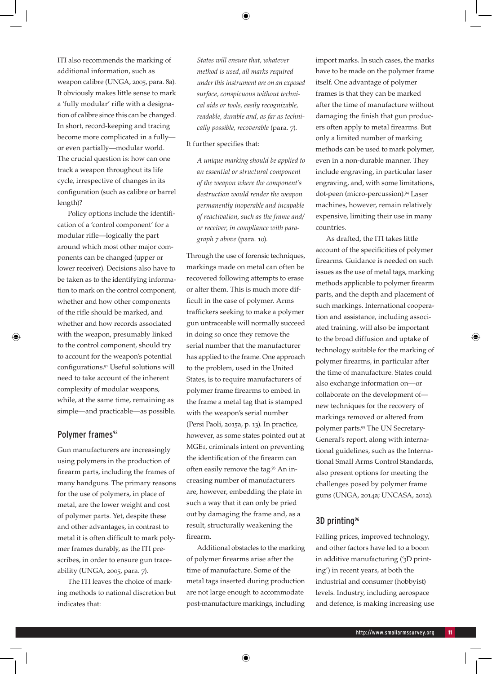ITI also recommends the marking of additional information, such as weapon calibre (UNGA, 2005, para. 8a). It obviously makes little sense to mark a 'fully modular' rifle with a designation of calibre since this can be changed. In short, record-keeping and tracing become more complicated in a fully or even partially—modular world. The crucial question is: how can one track a weapon throughout its life cycle, irrespective of changes in its configuration (such as calibre or barrel length)?

Policy options include the identification of a 'control component' for a modular rifle—logically the part around which most other major components can be changed (upper or lower receiver). Decisions also have to be taken as to the identifying information to mark on the control component, whether and how other components of the rifle should be marked, and whether and how records associated with the weapon, presumably linked to the control component, should try to account for the weapon's potential configurations.91 Useful solutions will need to take account of the inherent complexity of modular weapons, while, at the same time, remaining as simple—and practicable—as possible.

#### Polymer frames<sup>92</sup>

Gun manufacturers are increasingly using polymers in the production of firearm parts, including the frames of many handguns. The primary reasons for the use of polymers, in place of metal, are the lower weight and cost of polymer parts. Yet, despite these and other advantages, in contrast to metal it is often difficult to mark polymer frames durably, as the ITI prescribes, in order to ensure gun traceability (UNGA, 2005, para. 7).

The ITI leaves the choice of marking methods to national discretion but indicates that:

*States will ensure that, whatever method is used, all marks required under this instrument are on an exposed surface, conspicuous without technical aids or tools, easily recognizable, readable, durable and, as far as technically possible, recoverable* (para. 7).

#### It further specifies that:

*A unique marking should be applied to an essential or structural component of the weapon where the component's destruction would render the weapon permanently inoperable and incapable of reactivation, such as the frame and/ or receiver, in compliance with paragraph 7 above* (para. 10).

Through the use of forensic techniques, markings made on metal can often be recovered following attempts to erase or alter them. This is much more difficult in the case of polymer. Arms traffickers seeking to make a polymer gun untraceable will normally succeed in doing so once they remove the serial number that the manufacturer has applied to the frame. One approach to the problem, used in the United States, is to require manufacturers of polymer frame firearms to embed in the frame a metal tag that is stamped with the weapon's serial number (Persi Paoli, 2015a, p. 13). In practice, however, as some states pointed out at MGE1, criminals intent on preventing the identification of the firearm can often easily remove the tag.<sup>93</sup> An increasing number of manufacturers are, however, embedding the plate in such a way that it can only be pried out by damaging the frame and, as a result, structurally weakening the firearm.

Additional obstacles to the marking of polymer firearms arise after the time of manufacture. Some of the metal tags inserted during production are not large enough to accommodate post-manufacture markings, including

import marks. In such cases, the marks have to be made on the polymer frame itself. One advantage of polymer frames is that they can be marked after the time of manufacture without damaging the finish that gun producers often apply to metal firearms. But only a limited number of marking methods can be used to mark polymer, even in a non-durable manner. They include engraving, in particular laser engraving, and, with some limitations, dot-peen (micro-percussion).94 Laser machines, however, remain relatively expensive, limiting their use in many countries.

As drafted, the ITI takes little account of the specificities of polymer firearms. Guidance is needed on such issues as the use of metal tags, marking methods applicable to polymer firearm parts, and the depth and placement of such markings. International cooperation and assistance, including associated training, will also be important to the broad diffusion and uptake of technology suitable for the marking of polymer firearms, in particular after the time of manufacture. States could also exchange information on—or collaborate on the development of new techniques for the recovery of markings removed or altered from polymer parts.95 The UN Secretary-General's report, along with international guidelines, such as the International Small Arms Control Standards, also present options for meeting the challenges posed by polymer frame guns (UNGA, 2014a; UNCASA, 2012).

#### 3D printing<sup>96</sup>

Falling prices, improved technology, and other factors have led to a boom in additive manufacturing ('3D printing') in recent years, at both the industrial and consumer (hobbyist) levels. Industry, including aerospace and defence, is making increasing use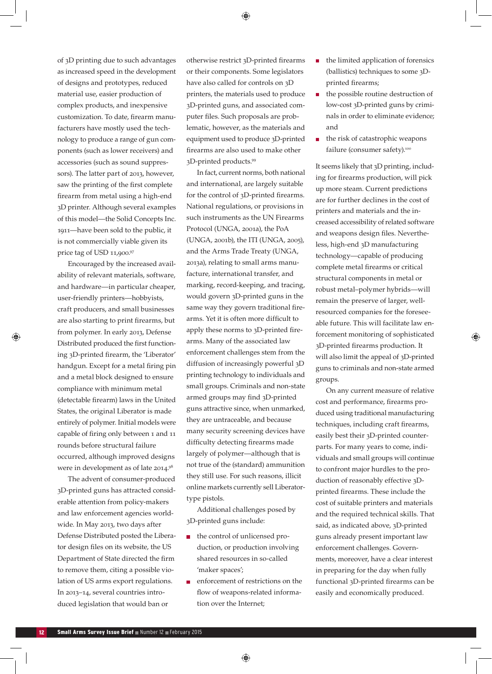of 3D printing due to such advantages as increased speed in the development of designs and prototypes, reduced material use, easier production of complex products, and inexpensive customization. To date, firearm manufacturers have mostly used the technology to produce a range of gun components (such as lower receivers) and accessories (such as sound suppressors). The latter part of 2013, however, saw the printing of the first complete firearm from metal using a high-end 3D printer. Although several examples of this model—the Solid Concepts Inc. 1911—have been sold to the public, it is not commercially viable given its price tag of USD 11,900.97

Encouraged by the increased availability of relevant materials, software, and hardware—in particular cheaper, user-friendly printers—hobbyists, craft producers, and small businesses are also starting to print firearms, but from polymer. In early 2013, Defense Distributed produced the first functioning 3D-printed firearm, the 'Liberator' handgun. Except for a metal firing pin and a metal block designed to ensure compliance with minimum metal (detectable firearm) laws in the United States, the original Liberator is made entirely of polymer. Initial models were capable of firing only between 1 and 11 rounds before structural failure occurred, although improved designs were in development as of late 2014.98

The advent of consumer-produced 3D-printed guns has attracted considerable attention from policy-makers and law enforcement agencies worldwide. In May 2013, two days after Defense Distributed posted the Liberator design files on its website, the US Department of State directed the firm to remove them, citing a possible violation of US arms export regulations. In 2013–14, several countries introduced legislation that would ban or

otherwise restrict 3D-printed firearms or their components. Some legislators have also called for controls on 3D printers, the materials used to produce 3D-printed guns, and associated computer files. Such proposals are problematic, however, as the materials and equipment used to produce 3D-printed firearms are also used to make other 3D-printed products.99

In fact, current norms, both national and international, are largely suitable for the control of 3D-printed firearms. National regulations, or provisions in such instruments as the UN Firearms Protocol (UNGA, 2001a), the PoA (UNGA, 2001b), the ITI (UNGA, 2005), and the Arms Trade Treaty (UNGA, 2013a), relating to small arms manufacture, international transfer, and marking, record-keeping, and tracing, would govern 3D-printed guns in the same way they govern traditional firearms. Yet it is often more difficult to apply these norms to 3D-printed firearms. Many of the associated law enforcement challenges stem from the diffusion of increasingly powerful 3D printing technology to individuals and small groups. Criminals and non-state armed groups may find 3D-printed guns attractive since, when unmarked, they are untraceable, and because many security screening devices have difficulty detecting firearms made largely of polymer—although that is not true of the (standard) ammunition they still use. For such reasons, illicit online markets currently sell Liberatortype pistols.

Additional challenges posed by 3D-printed guns include:

- the control of unlicensed production, or production involving shared resources in so-called 'maker spaces';
- enforcement of restrictions on the flow of weapons-related information over the Internet;
- the limited application of forensics П (ballistics) techniques to some 3Dprinted firearms;
- the possible routine destruction of П low-cost 3D-printed guns by criminals in order to eliminate evidence; and
- the risk of catastrophic weapons failure (consumer safety).<sup>100</sup>

It seems likely that 3D printing, including for firearms production, will pick up more steam. Current predictions are for further declines in the cost of printers and materials and the increased accessibility of related software and weapons design files. Nevertheless, high-end 3D manufacturing technology—capable of producing complete metal firearms or critical structural components in metal or robust metal–polymer hybrids—will remain the preserve of larger, wellresourced companies for the foreseeable future. This will facilitate law enforcement monitoring of sophisticated 3D-printed firearms production. It will also limit the appeal of 3D-printed guns to criminals and non-state armed groups.

On any current measure of relative cost and performance, firearms produced using traditional manufacturing techniques, including craft firearms, easily best their 3D-printed counterparts. For many years to come, individuals and small groups will continue to confront major hurdles to the production of reasonably effective 3Dprinted firearms. These include the cost of suitable printers and materials and the required technical skills. That said, as indicated above, 3D-printed guns already present important law enforcement challenges. Governments, moreover, have a clear interest in preparing for the day when fully functional 3D-printed firearms can be easily and economically produced.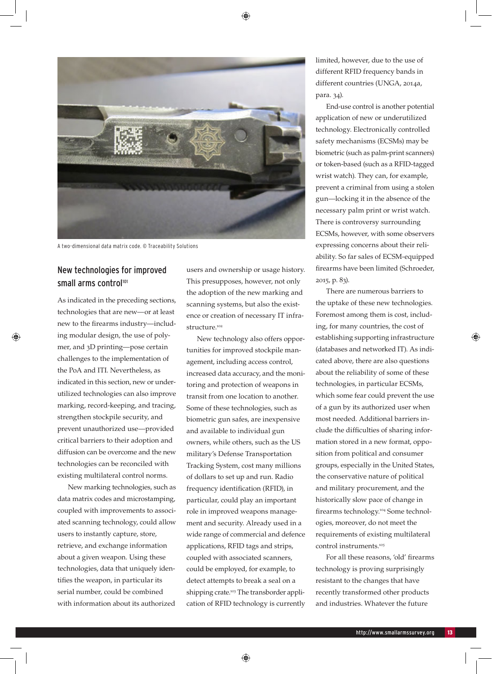

A two-dimensional data matrix code. © Traceability Solutions

## New technologies for improved small arms control<sup>101</sup>

As indicated in the preceding sections, technologies that are new—or at least new to the firearms industry—including modular design, the use of polymer, and 3D printing—pose certain challenges to the implementation of the PoA and ITI. Nevertheless, as indicated in this section, new or underutilized technologies can also improve marking, record-keeping, and tracing, strengthen stockpile security, and prevent unauthorized use—provided critical barriers to their adoption and diffusion can be overcome and the new technologies can be reconciled with existing multilateral control norms.

New marking technologies, such as data matrix codes and microstamping, coupled with improvements to associated scanning technology, could allow users to instantly capture, store, retrieve, and exchange information about a given weapon. Using these technologies, data that uniquely identifies the weapon, in particular its serial number, could be combined with information about its authorized

users and ownership or usage history. This presupposes, however, not only the adoption of the new marking and scanning systems, but also the existence or creation of necessary IT infrastructure.<sup>102</sup>

New technology also offers opportunities for improved stockpile management, including access control, increased data accuracy, and the monitoring and protection of weapons in transit from one location to another. Some of these technologies, such as biometric gun safes, are inexpensive and available to individual gun owners, while others, such as the US military's Defense Transportation Tracking System, cost many millions of dollars to set up and run. Radio frequency identification (RFID), in particular, could play an important role in improved weapons management and security. Already used in a wide range of commercial and defence applications, RFID tags and strips, coupled with associated scanners, could be employed, for example, to detect attempts to break a seal on a shipping crate.<sup>103</sup> The transborder application of RFID technology is currently

limited, however, due to the use of different RFID frequency bands in different countries (UNGA, 2014a, para. 34).

End-use control is another potential application of new or underutilized technology. Electronically controlled safety mechanisms (ECSMs) may be biometric (such as palm-print scanners) or token-based (such as a RFID-tagged wrist watch). They can, for example, prevent a criminal from using a stolen gun—locking it in the absence of the necessary palm print or wrist watch. There is controversy surrounding ECSMs, however, with some observers expressing concerns about their reliability. So far sales of ECSM-equipped firearms have been limited (Schroeder, 2015, p. 83).

There are numerous barriers to the uptake of these new technologies. Foremost among them is cost, including, for many countries, the cost of establishing supporting infrastructure (databases and networked IT). As indicated above, there are also questions about the reliability of some of these technologies, in particular ECSMs, which some fear could prevent the use of a gun by its authorized user when most needed. Additional barriers in clude the difficulties of sharing information stored in a new format, opposition from political and consumer groups, especially in the United States, the conservative nature of political and military procurement, and the historically slow pace of change in firearms technology.104 Some technologies, moreover, do not meet the requirements of existing multilateral control instruments.105

For all these reasons, 'old' firearms technology is proving surprisingly resistant to the changes that have recently transformed other products and industries. Whatever the future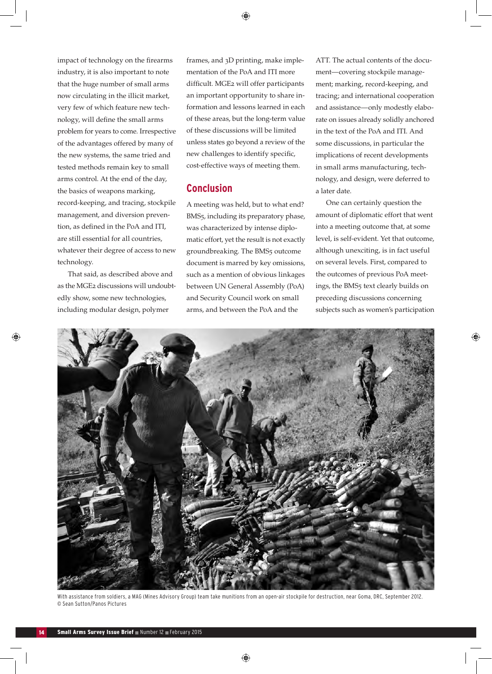impact of technology on the firearms industry, it is also important to note that the huge number of small arms now circulating in the illicit market, very few of which feature new technology, will define the small arms problem for years to come. Irrespective of the advantages offered by many of the new systems, the same tried and tested methods remain key to small arms control. At the end of the day, the basics of weapons marking, record-keeping, and tracing, stockpile management, and diversion prevention, as defined in the PoA and ITI, are still essential for all countries, whatever their degree of access to new technology.

That said, as described above and as the MGE2 discussions will undoubtedly show, some new technologies, including modular design, polymer

frames, and 3D printing, make implementation of the PoA and ITI more difficult. MGE2 will offer participants an important opportunity to share information and lessons learned in each of these areas, but the long-term value of these discussions will be limited unless states go beyond a review of the new challenges to identify specific, cost-effective ways of meeting them.

## **Conclusion**

A meeting was held, but to what end? BMS5, including its preparatory phase, was characterized by intense diplomatic effort, yet the result is not exactly groundbreaking. The BMS5 outcome document is marred by key omissions, such as a mention of obvious linkages between UN General Assembly (PoA) and Security Council work on small arms, and between the PoA and the

ATT. The actual contents of the document—covering stockpile management; marking, record-keeping, and tracing; and international cooperation and assistance—only modestly elaborate on issues already solidly anchored in the text of the PoA and ITI. And some discussions, in particular the implications of recent developments in small arms manufacturing, technology, and design, were deferred to a later date.

One can certainly question the amount of diplomatic effort that went into a meeting outcome that, at some level, is self-evident. Yet that outcome, although unexciting, is in fact useful on several levels. First, compared to the outcomes of previous PoA meetings, the BMS5 text clearly builds on preceding discussions concerning subjects such as women's participation



With assistance from soldiers, a MAG (Mines Advisory Group) team take munitions from an open-air stockpile for destruction, near Goma, DRC, September 2012. © Sean Sutton/Panos Pictures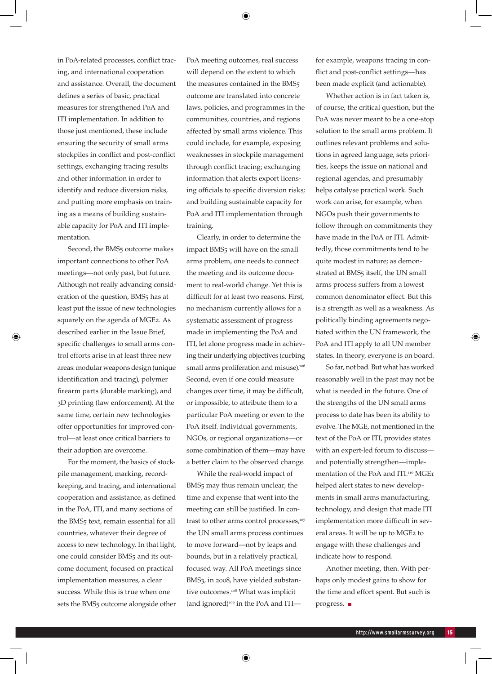in PoA-related processes, conflict tracing, and international cooperation and assistance. Overall, the document defines a series of basic, practical measures for strengthened PoA and ITI implementation. In addition to those just mentioned, these include ensuring the security of small arms stockpiles in conflict and post-conflict settings, exchanging tracing results and other information in order to identify and reduce diversion risks, and putting more emphasis on training as a means of building sustainable capacity for PoA and ITI implementation.

Second, the BMS5 outcome makes important connections to other PoA meetings—not only past, but future. Although not really advancing consideration of the question, BMS5 has at least put the issue of new technologies squarely on the agenda of MGE2. As described earlier in the Issue Brief, specific challenges to small arms control efforts arise in at least three new areas: modular weapons design (unique identification and tracing), polymer firearm parts (durable marking), and 3D printing (law enforcement). At the same time, certain new technologies offer opportunities for improved control—at least once critical barriers to their adoption are overcome.

For the moment, the basics of stockpile management, marking, recordkeeping, and tracing, and international cooperation and assistance, as defined in the PoA, ITI, and many sections of the BMS5 text, remain essential for all countries, whatever their degree of access to new technology. In that light, one could consider BMS5 and its outcome document, focused on practical implementation measures, a clear success. While this is true when one sets the BMS5 outcome alongside other PoA meeting outcomes, real success will depend on the extent to which the measures contained in the BMS5 outcome are translated into concrete laws, policies, and programmes in the communities, countries, and regions affected by small arms violence. This could include, for example, exposing weaknesses in stockpile management through conflict tracing; exchanging information that alerts export licensing officials to specific diversion risks; and building sustainable capacity for PoA and ITI implementation through training.

Clearly, in order to determine the impact BMS5 will have on the small arms problem, one needs to connect the meeting and its outcome document to real-world change. Yet this is difficult for at least two reasons. First, no mechanism currently allows for a systematic assessment of progress made in implementing the PoA and ITI, let alone progress made in achieving their underlying objectives (curbing small arms proliferation and misuse).<sup>106</sup> Second, even if one could measure changes over time, it may be difficult, or impossible, to attribute them to a particular PoA meeting or even to the PoA itself. Individual governments, NGOs, or regional organizations—or some combination of them—may have a better claim to the observed change.

While the real-world impact of BMS5 may thus remain unclear, the time and expense that went into the meeting can still be justified. In contrast to other arms control processes,<sup>107</sup> the UN small arms process continues to move forward—not by leaps and bounds, but in a relatively practical, focused way. All PoA meetings since BMS3, in 2008, have yielded substantive outcomes.108 What was implicit (and ignored)109 in the PoA and ITI—

for example, weapons tracing in conflict and post-conflict settings—has been made explicit (and actionable).

Whether action is in fact taken is, of course, the critical question, but the PoA was never meant to be a one-stop solution to the small arms problem. It outlines relevant problems and solutions in agreed language, sets priorities, keeps the issue on national and regional agendas, and presumably helps catalyse practical work. Such work can arise, for example, when NGOs push their governments to follow through on commitments they have made in the PoA or ITI. Admittedly, those commitments tend to be quite modest in nature; as demonstrated at BMS5 itself, the UN small arms process suffers from a lowest common denominator effect. But this is a strength as well as a weakness. As politically binding agreements negotiated within the UN framework, the PoA and ITI apply to all UN member states. In theory, everyone is on board.

So far, not bad. But what has worked reasonably well in the past may not be what is needed in the future. One of the strengths of the UN small arms process to date has been its ability to evolve. The MGE, not mentioned in the text of the PoA or ITI, provides states with an expert-led forum to discuss and potentially strengthen—implementation of the PoA and ITI.<sup>110</sup> MGE<sub>1</sub> helped alert states to new developments in small arms manufacturing, technology, and design that made ITI implementation more difficult in several areas. It will be up to MGE2 to engage with these challenges and indicate how to respond.

Another meeting, then. With perhaps only modest gains to show for the time and effort spent. But such is progress.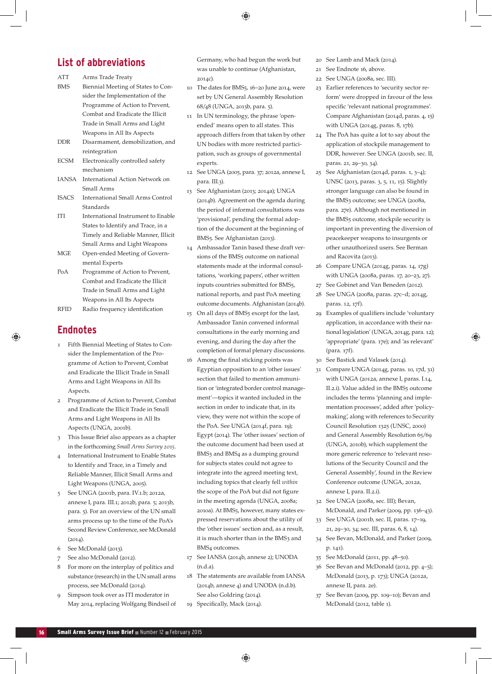# **List of abbreviations**

- ATT Arms Trade Treaty
- BMS Biennial Meeting of States to Consider the Implementation of the Programme of Action to Prevent, Combat and Eradicate the Illicit Trade in Small Arms and Light Weapons in All Its Aspects
- DDR Disarmament, demobilization, and reintegration
- ECSM Electronically controlled safety mechanism
- IANSA International Action Network on Small Arms
- ISACS International Small Arms Control Standards
- ITI International Instrument to Enable States to Identify and Trace, in a Timely and Reliable Manner, Illicit Small Arms and Light Weapons
- MGE Open-ended Meeting of Governmental Experts
- PoA Programme of Action to Prevent, Combat and Eradicate the Illicit Trade in Small Arms and Light Weapons in All Its Aspects
- RFID Radio frequency identification

# **Endnotes**

- Fifth Biennial Meeting of States to Consider the Implementation of the Programme of Action to Prevent, Combat and Eradicate the Illicit Trade in Small Arms and Light Weapons in All Its Aspects.
- 2 Programme of Action to Prevent, Combat and Eradicate the Illicit Trade in Small Arms and Light Weapons in All Its Aspects (UNGA, 2001b).
- 3 This Issue Brief also appears as a chapter in the forthcoming *Small Arms Survey 2015*.
- 4 International Instrument to Enable States to Identify and Trace, in a Timely and Reliable Manner, Illicit Small Arms and Light Weapons (UNGA, 2005).
- 5 See UNGA (2001b, para. IV.1.b; 2012a, annexe I, para. III.1; 2012b, para. 5; 2013b, para. 5). For an overview of the UN small arms process up to the time of the PoA's Second Review Conference, see McDonald (2014).
- 6 See McDonald (2013).
- See also McDonald (2012).
- 8 For more on the interplay of politics and substance (research) in the UN small arms process, see McDonald (2014).
- Simpson took over as ITI moderator in May 2014, replacing Wolfgang Bindseil of

Germany, who had begun the work but was unable to continue (Afghanistan, 2014c).

- 10 The dates for BMS5, 16–20 June 2014, were set by UN General Assembly Resolution 68/48 (UNGA, 2013b, para. 5).
- 11 In UN terminology, the phrase 'openended' means open to all states. This approach differs from that taken by other UN bodies with more restricted participation, such as groups of governmental experts.
- 12 See UNGA (2005, para. 37; 2012a, annexe I, para. III.3).
- 13 See Afghanistan (2013; 2014a); UNGA (2014b). Agreement on the agenda during the period of informal consultations was 'provisional', pending the formal adoption of the document at the beginning of BMS5. See Afghanistan (2013).
- 14 Ambassador Tanin based these draft versions of the BMS5 outcome on national statements made at the informal consultations, 'working papers', other written inputs countries submitted for BMS5, national reports, and past PoA meeting outcome documents. Afghanistan (2014b).
- 15 On all days of BMS5 except for the last, Ambassador Tanin convened informal consultations in the early morning and evening, and during the day after the completion of formal plenary discussions.
- 16 Among the final sticking points was Egyptian opposition to an 'other issues' section that failed to mention ammunition or 'integrated border control management'—topics it wanted included in the section in order to indicate that, in its view, they were not within the scope of the PoA. See UNGA (2014f, para. 19); Egypt (2014). The 'other issues' section of the outcome document had been used at BMS3 and BMS4 as a dumping ground for subjects states could not agree to integrate into the agreed meeting text, including topics that clearly fell *within* the scope of the PoA but did not figure in the meeting agenda (UNGA, 2008a; 2010a). At BMS5, however, many states expressed reservations about the utility of the 'other issues' section and, as a result, it is much shorter than in the BMS3 and BMS4 outcomes.
- 17 See IANSA (2014b, annexe 2); UNODA (n.d.a).
- 18 The statements are available from IANSA (2014b, annexe 4) and UNODA (n.d.b). See also Goldring (2014).
- 19 Specifically, Mack (2014).
- 20 See Lamb and Mack (2014).
- 21 See Endnote 16, above.
- 22 See UNGA (2008a, sec. III).
- 23 Earlier references to 'security sector re form' were dropped in favour of the less specific 'relevant national programmes'. Compare Afghanistan (2014d, paras. 4, 15) with UNGA (2014g, paras. 8, 17b).
- 24 The PoA has quite a lot to say about the application of stockpile management to DDR, however. See UNGA (2001b, sec. II, paras. 21, 29–30, 34).
- 25 See Afghanistan (2014d, paras. 1, 3–4); UNSC (2013, paras. 3, 5, 11, 15). Slightly stronger language can also be found in the BMS3 outcome; see UNGA (2008a, para. 27e). Although not mentioned in the BMS5 outcome, stockpile security is important in preventing the diversion of peacekeeper weapons to insurgents or other unauthorized users. See Berman and Racovita (2013).
- 26 Compare UNGA (2014g, paras. 14, 17g) with UNGA (2008a, paras. 17, 20–23, 27).
- 27 See Gobinet and Van Beneden (2012).
- 28 See UNGA (2008a, paras. 27c–d; 2014g, paras. 12, 17f).
- 29 Examples of qualifiers include 'voluntary application, in accordance with their national legislation' (UNGA, 2014g, para. 12); 'appropriate' (para. 17e); and 'as relevant' (para. 17f).
- 30 See Bastick and Valasek (2014).
- 31 Compare UNGA (2014g, paras. 10, 17d, 31) with UNGA (2012a, annexe I, paras. I.14, II.2.i). Value added in the BMS5 outcome includes the terms 'planning and implementation processes', added after 'policymaking', along with references to Security Council Resolution 1325 (UNSC, 2000) and General Assembly Resolution 65/69 (UNGA, 2010b), which supplement the more generic reference to 'relevant resolutions of the Security Council and the General Assembly', found in the Review Conference outcome (UNGA, 2012a, annexe I, para. II.2.i).
- 32 See UNGA (2008a, sec. III); Bevan, McDonald, and Parker (2009, pp. 136–43).
- 33 See UNGA (2001b, sec. II, paras. 17–19, 21, 29–30, 34; sec. III, paras. 6, 8, 14).
- 34 See Bevan, McDonald, and Parker (2009, p. 141).
- 35 See McDonald (2011, pp. 48–50).
- 36 See Bevan and McDonald (2012, pp. 4–5); McDonald (2013, p. 173); UNGA (2012a, annexe II, para. 2e).
- 37 See Bevan (2009, pp. 109–10); Bevan and McDonald (2012, table 1).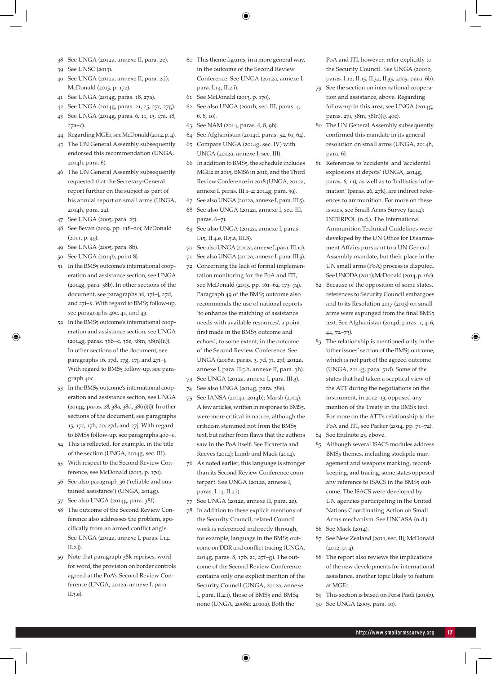- 38 See UNGA (2012a, annexe II, para. 2e).
- 39 See UNSC (2013).
- 40 See UNGA (2012a, annexe II, para. 2d); McDonald (2013, p. 172).
- 41 See UNGA (2014g, paras. 18, 27a).
- 42 See UNGA (2014g, paras. 21, 25, 27c, 27g).
- 43 See UNGA (2014g, paras. 6, 11, 13, 17a, 18, 27a–c).
- 44 Regarding MGE1, see McDonald (2012, p. 4).
- 45 The UN General Assembly subsequently endorsed this recommendation (UNGA, 2014h, para. 6).
- 46 The UN General Assembly subsequently requested that the Secretary-General report further on the subject as part of his annual report on small arms (UNGA, 2014h, para. 22).
- 47 See UNGA (2005, para. 25).
- 48 See Bevan (2009, pp. 118–20); McDonald (2011, p. 49).
- 49 See UNGA (2005, para. 8b).
- 50 See UNGA (2014b, point 8).
- 51 In the BMS5 outcome's international cooperation and assistance section, see UNGA (2014g, para. 38b). In other sections of the document, see paragraphs 16, 17i–j, 27d, and 27i–k. With regard to BMS5 follow-up, see paragraphs 40c, 41, and 43.
- 52 In the BMS5 outcome's international cooperation and assistance section, see UNGA (2014g, paras. 38b–c, 38e, 38m, 38(n)(ii)). In other sections of the document, see paragraphs 16, 17d, 17g, 17j, and 27i–j. With regard to BMS5 follow-up, see paragraph 40c.
- 53 In the BMS5 outcome's international cooperation and assistance section, see UNGA (2014g, paras. 28, 38a, 38d, 38(n)(i)). In other sections of the document, see paragraphs 15, 17c, 17h, 20, 27d, and 27j. With regard to BMS5 follow-up, see paragraphs 40b–c.
- 54 This is reflected, for example, in the title of the section (UNGA, 2014g, sec. III).
- 55 With respect to the Second Review Conference, see McDonald (2013, p. 170).
- 56 See also paragraph 36 ('reliable and sustained assistance') (UNGA, 2014g).
- 57 See also UNGA (2014g, para. 38f).
- 58 The outcome of the Second Review Conference also addresses the problem, specifically from an armed conflict angle. See UNGA (2012a, annexe I, paras. I.14, II.2.j).
- 59 Note that paragraph 38k reprises, word for word, the provision on border controls agreed at the PoA's Second Review Conference (UNGA, 2012a, annexe I, para. II.3.e).
- 60 This theme figures, in a more general way, in the outcome of the Second Review Conference. See UNGA (2012a, annexe I, para. I.14, II.2.i).
- 61 See McDonald (2013, p. 170).
- 62 See also UNGA (2001b, sec. III, paras. 4, 6, 8, 10).
- 63 See NAM (2014, paras. 6, 8, 9b).
- 64 See Afghanistan (2014d, paras. 52, 61, 64). 65 Compare UNGA (2014g, sec. IV) with UNGA (2012a, annexe I, sec. III).
- 66 In addition to BMS5, the schedule includes MGE2 in 2015, BMS6 in 2016, and the Third Review Conference in 2018 (UNGA, 2012a, annexe I, paras. III.1–2; 2014g, para. 39).
- 67 See also UNGA (2012a, annexe I, para. III.5).
- 68 See also UNGA (2012a, annexe I, sec. III, paras. 6–7).
- 69 See also UNGA (2012a, annexe I, paras. I.15, II.4.e, II.5.a, III.8).
- 70 See also UNGA (2012a, annexe I, para. III.10).
- 71 See also UNGA (2012a, annexe I, para. III.9).
- 72 Concerning the lack of formal implementation monitoring for the PoA and ITI, see McDonald (2013, pp. 161–62, 173–74). Paragraph 49 of the BMS5 outcome also recommends the use of national reports 'to enhance the matching of assistance needs with available resources', a point first made in the BMS3 outcome and echoed, to some extent, in the outcome of the Second Review Conference. See UNGA (2008a, paras. 3, 7d, 7i, 27f; 2012a, annexe I, para. II.5.h, annexe II, para. 3h).
- 73 See UNGA (2012a, annexe I, para. III.3).
- 74 See also UNGA (2014g, para. 38e).
- 75 See IANSA (2014a; 2014b); Marsh (2014). A few articles, written in response to BMS5, were more critical in nature, although the criticism stemmed not from the BMS5 text, but rather from flaws that the authors saw in the PoA itself. See Ficaretta and Reeves (2014); Lamb and Mack (2014).
- 76 As noted earlier, this language is stronger than its Second Review Conference counterpart. See UNGA (2012a, annexe I, paras. I.14, II.2.i).
- 77 See UNGA (2012a, annexe II, para. 2e).
- 78 In addition to these explicit mentions of the Security Council, related Council work is referenced indirectly through, for example, language in the BMS5 outcome on DDR and conflict tracing (UNGA, 2014g, paras. 8, 17b, 21, 27f–g). The outcome of the Second Review Conference contains only one explicit mention of the Security Council (UNGA, 2012a, annexe I, para. II.2.i), those of BMS<sub>3</sub> and BMS<sub>4</sub> none (UNGA, 2008a; 2010a). Both the

PoA and ITI, however, refer explicitly to the Security Council. See UNGA (2001b, paras. I.12, II.15, II.32, II.35; 2005, para. 6b).

- 79 See the section on international cooperation and assistance, above. Regarding follow-up in this area, see UNGA (2014g, paras. 27i, 38m, 38(n)(i), 40c).
- 80 The UN General Assembly subsequently confirmed this mandate in its general resolution on small arms (UNGA, 2014h, para. 6).
- 81 References to 'accidents' and 'accidental explosions at depots' (UNGA, 2014g, paras. 6, 11), as well as to 'ballistics information' (paras. 26, 27k), are indirect references to ammunition. For more on these issues, see Small Arms Survey (2014); INTERPOL (n.d.). The International Ammunition Technical Guidelines were developed by the UN Office for Disarmament Affairs pursuant to a UN General Assembly mandate, but their place in the UN small arms (PoA) process is disputed. See UNODA (2011); McDonald (2014, p. 160).
- 82 Because of the opposition of some states, references to Security Council embargoes and to its Resolution 2117 (2013) on small arms were expunged from the final BMS5 text. See Afghanistan (2014d, paras. 1, 4, 6, 44, 72–73).
- 83 The relationship is mentioned only in the 'other issues' section of the BMS5 outcome, which is not part of the agreed outcome (UNGA, 2014g, para. 51d). Some of the states that had taken a sceptical view of the ATT during the negotiations on the instrument, in 2012–13, opposed any mention of the Treaty in the BMS<sub>5</sub> text. For more on the ATT's relationship to the PoA and ITI, see Parker (2014, pp. 71–72).
- 84 See Endnote 23, above.
- 85 Although several ISACS modules address BMS5 themes, including stockpile management and weapons marking, recordkeeping, and tracing, some states opposed any reference to ISACS in the BMS5 outcome. The ISACS were developed by UN agencies participating in the United Nations Coordinating Action on Small Arms mechanism. See UNCASA (n.d.).
- 86 See Mack (2014).
- 87 See New Zealand (2011, sec. II); McDonald (2012, p. 4).
- 88 The report also reviews the implications of the new developments for international assistance, another topic likely to feature at MGE2.
- 89 This section is based on Persi Paoli (2015b).
- 90 See UNGA (2005, para. 10).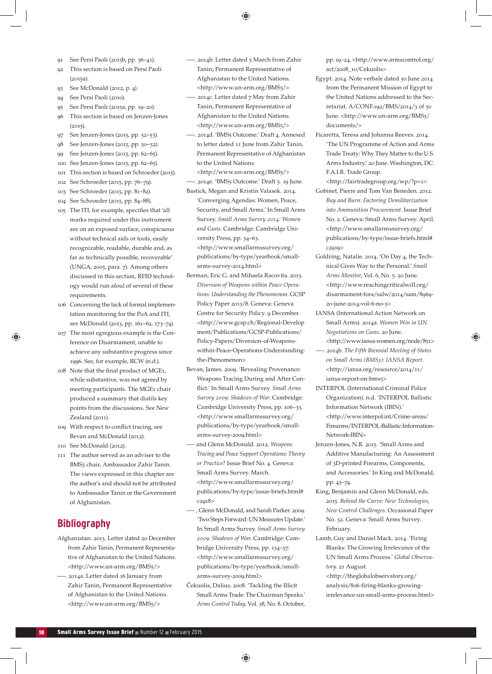- 91 See Persi Paoli (2015b, pp. 36–41).
- 92 This section is based on Persi Paoli (2015a).
- 93 See McDonald (2012, p. 4).
- 94 See Persi Paoli (2010).
- 95 See Persi Paoli (2015a, pp. 19–20).
- 96 This section is based on Jenzen-Jones  $(2015).$
- 97 See Jenzen-Jones (2015, pp. 52–53).
- 98 See Jenzen-Jones (2015, pp. 50–52).
- 99 See Jenzen-Jones (2015, pp. 62–65).
- 100 See Jenzen-Jones (2015, pp. 62–65).
- 101 This section is based on Schroeder (2015).
- 102 See Schroeder (2015, pp. 76–79).
- 103 See Schroeder (2015, pp. 81–82).
- 104 See Schroeder (2015, pp. 84–88).
- 105 The ITI, for example, specifies that 'all marks required under this instrument are on an exposed surface, conspicuous without technical aids or tools, easily recognizable, readable, durable and, as far as technically possible, recoverable' (UNGA, 2005, para. 7). Among others discussed in this section, RFID technology would run afoul of several of these requirements.
- 106 Concerning the lack of formal implementation monitoring for the PoA and ITI, see McDonald (2013, pp. 161–62, 173–74).
- 107 The most egregious example is the Conference on Disarmament, unable to achieve any substantive progress since 1996. See, for example, RCW (n.d.).
- 108 Note that the final product of MGE1, while substantive, was not agreed by meeting participants. The MGE1 chair produced a summary that distils key points from the discussions. See New Zealand (2011).
- 109 With respect to conflict tracing, see Bevan and McDonald (2012).
- 110 See McDonald (2012).
- 111 The author served as an adviser to the BMS5 chair, Ambassador Zahir Tanin. The views expressed in this chapter are the author's and should not be attributed to Ambassador Tanin or the Government of Afghanistan.

## **Bibliography**

- Afghanistan. 2013. Letter dated 20 December from Zahir Tanin, Permanent Representative of Afghanistan to the United Nations. <http://www.un-arm.org/BMS5/>
- —. 2014a. Letter dated 16 January from Zahir Tanin, Permanent Representative of Afghanistan to the United Nations. <http://www.un-arm.org/BMS5/>
- —. 2014b. Letter dated 5 March from Zahir Tanin, Permanent Representative of Afghanistan to the United Nations. <http://www.un-arm.org/BMS5/>
- —. 2014c. Letter dated 7 May from Zahir Tanin, Permanent Representative of Afghanistan to the United Nations. <http://www.un-arm.org/BMS5/>
- —. 2014d. 'BMS5 Outcome*.*' Draft 4*.* Annexed to letter dated 11 June from Zahir Tanin, Permanent Representative of Afghanistan to the United Nations.

<http://www.un-arm.org/BMS5/> —. 2014e. 'BMS5 Outcome.' Draft 5*.* 19 June.

Bastick, Megan and Kristin Valasek. 2014. 'Converging Agendas: Women, Peace, Security, and Small Arms.' In Small Arms Survey. *Small Arms Survey 2014: Women and Guns*. Cambridge: Cambridge University Press, pp. 34–63. <http://www.smallarmssurvey.org/ publications/by-type/yearbook/smallarms-survey-2014.html>

- Berman, Eric G. and Mihaela Racovita. 2013. *Diversion of Weapons within Peace Operations: Understanding the Phenomenon*. GCSP Policy Paper 2013/8. Geneva: Geneva Centre for Security Policy. 9 December. <http://www.gcsp.ch/Regional-Develop ment/Publications/GCSP-Publications/ Policy-Papers/Diversion-of-Weaponswithin-Peace-Operations-Understandingthe-Phenomenon>
- Bevan, James. 2009. 'Revealing Provenance: Weapons Tracing During and After Conflict.' In Small Arms Survey. *Small Arms Survey 2009: Shadows of War*. Cambridge: Cambridge University Press, pp. 106–33. <http://www.smallarmssurvey.org/ publications/by-type/yearbook/smallarms-survey-2009.html>
- and Glenn McDonald. 2012. *Weapons Tracing and Peace Support Operations: Theory or Practice?* Issue Brief No. 4. Geneva: Small Arms Survey. March. <http://www.smallarmssurvey.org/ publications/by-type/issue-briefs.html# c2918>
- , Glenn McDonald, and Sarah Parker. 2009. 'Two Steps Forward: UN Measures Update.' In Small Arms Survey. *Small Arms Survey 2009: Shadows of War*. Cambridge: Cambridge University Press, pp. 134–57. <http://www.smallarmssurvey.org/ publications/by-type/yearbook/smallarms-survey-2009.html>
- Čekuolis, Dalius. 2008. 'Tackling the Illicit Small Arms Trade: The Chairman Speaks.' *Arms Control Today*, Vol. 38, No. 8. October,

pp. 19–24. <http://www.armscontrol.org/ act/2008\_10/Cekuolis>

- Egypt. 2014. Note verbale dated 30 June 2014 from the Permanent Mission of Egypt to the United Nations addressed to the Secretariat. A/CONF.192/BMS/2014/3 of 30 June. <http://www.un-arm.org/BMS5/ documents/>
- Ficaretta, Teresa and Johanna Reeves. 2014. 'The UN Programme of Action and Arms Trade Treaty: Why They Matter to the U.S. Arms Industry.' 20 June. Washington, DC: F.A.I.R. Trade Group.
- <http://fairtradegroup.org/wp/?p=1> Gobinet, Pierre and Tom Van Beneden. 2012. *Buy and Burn: Factoring Demilitarization into Ammunition Procurement*. Issue Brief No. 2. Geneva: Small Arms Survey. April. <http://www.smallarmssurvey.org/ publications/by-type/issue-briefs.html# c2919>
- Goldring, Natalie. 2014. 'On Day 4, the Technical Gives Way to the Personal.' *Small Arms Monitor*, Vol. 6, No. 5. 20 June. <http://www.reachingcriticalwill.org/ disarmament-fora/salw/2014/sam/8969- 20-june-2014-vol-6-no-5>
- IANSA (International Action Network on Small Arms). 2014a. *Women Win in UN Negotiations on Guns*. 20 June. <http://www.iansa-women.org/node/851>
- —. 2014b. *The Fifth Biennial Meeting of States on Small Arms (BMS5): IANSA Report*. <http://iansa.org/resource/2014/11/ iansa-report-on-bms5>
- INTERPOL (International Criminal Police Organization). n.d. 'INTERPOL Ballistic Information Network (IBIN).' <http://www.interpol.int/Crime-areas/ Firearms/INTERPOL-Ballistic-Information-Network-IBIN>
- Jenzen-Jones, N.R. 2015. 'Small Arms and Additive Manufacturing: An Assessment of 3D-printed Firearms, Components, and Accessories.' In King and McDonald, pp. 43–74.
- King, Benjamin and Glenn McDonald, eds. 2015. *Behind the Curve: New Technologies, New Control Challenges*. Occasional Paper No. 32. Geneva: Small Arms Survey. February.
- Lamb, Guy and Daniel Mack. 2014. 'Firing Blanks: The Growing Irrelevance of the UN Small Arms Process.' *Global Observatory*. 21 August.
	- <http://theglobalobservatory.org/ analysis/806-firing-blanks-growingirrelevance-un-small-arms-process.html>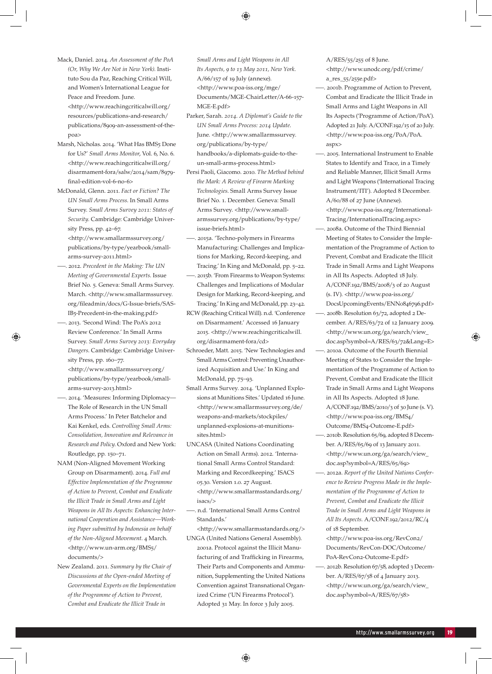Mack, Daniel. 2014. *An Assessment of the PoA (Or, Why We Are Not in New York)*. Instituto Sou da Paz, Reaching Critical Will, and Women's International League for Peace and Freedom. June. <http://www.reachingcriticalwill.org/ resources/publications-and-research/ publications/8909-an-assessment-of-thepoa>

- Marsh, Nicholas. 2014. 'What Has BMS5 Done for Us?' *Small Arms Monitor*, Vol. 6, No. 6. <http://www.reachingcriticalwill.org/ disarmament-fora/salw/2014/sam/8979 final-edition-vol-6-no-6>
- McDonald, Glenn. 2011. *Fact or Fiction? The UN Small Arms Process*. In Small Arms Survey. *Small Arms Survey 2011: States of Security*. Cambridge: Cambridge University Press, pp. 42–67.

<http://www.smallarmssurvey.org/ publications/by-type/yearbook/smallarms-survey-2011.html>

- —. 2012. *Precedent in the Making: The UN Meeting of Governmental Experts*. Issue Brief No. 5. Geneva: Small Arms Survey. March. <http://www.smallarmssurvey. org/fileadmin/docs/G-Issue-briefs/SAS-IB5-Precedent-in-the-making.pdf>
- —. 2013. 'Second Wind: The PoA's 2012 Review Conference.' In Small Arms Survey. *Small Arms Survey 2013: Everyday Dangers*. Cambridge: Cambridge University Press, pp. 160–77.

<http://www.smallarmssurvey.org/ publications/by-type/yearbook/smallarms-survey-2013.html>

- —. 2014. 'Measures: Informing Diplomacy— The Role of Research in the UN Small Arms Process.' In Peter Batchelor and Kai Kenkel, eds. *Controlling Small Arms: Consolidation, Innovation and Relevance in Research and Policy*. Oxford and New York: Routledge, pp. 150–71.
- NAM (Non-Aligned Movement Working Group on Disarmament). 2014. *Full and Effective Implementation of the Programme of Action to Prevent, Combat and Eradicate the Illicit Trade in Small Arms and Light Weapons in All Its Aspects: Enhancing International Cooperation and Assistance—Working Paper submitted by Indonesia on behalf of the Non-Aligned Movement*. 4 March. <http://www.un-arm.org/BMS5/ documents/>
- New Zealand. 2011. *Summary by the Chair of Discussions at the Open-ended Meeting of Governmental Experts on the Implementation of the Programme of Action to Prevent, Combat and Eradicate the Illicit Trade in*

*Small Arms and Light Weapons in All Its Aspects, 9 to 13 May 2011, New York*. A/66/157 of 19 July (annexe). <http://www.poa-iss.org/mge/ Documents/MGE-ChairLetter/A-66-157- MGE-E.pdf>

- Parker, Sarah. *2014. A Diplomat's Guide to the UN Small Arms Process: 2014 Update*. June. <http://www.smallarmssurvey. org/publications/by-type/ handbooks/a-diplomats-guide-to-theun-small-arms-process.html>
- Persi Paoli, Giacomo. 2010. *The Method behind the Mark: A Review of Firearm Marking Technologies*. Small Arms Survey Issue Brief No. 1. December. Geneva: Small Arms Survey. <http://www.smallarmssurvey.org/publications/by-type/ issue-briefs.html>

—. 2015a. 'Techno-polymers in Firearms Manufacturing: Challenges and Implications for Marking, Record-keeping, and Tracing.' In King and McDonald, pp. 5–22.

- —. 2015b. 'From Firearms to Weapon Systems: Challenges and Implications of Modular Design for Marking, Record-keeping, and Tracing.' In King and McDonald, pp. 23–42.
- RCW (Reaching Critical Will). n.d. 'Conference on Disarmament.' Accessed 16 January 2015. <http://www.reachingcriticalwill. org/disarmament-fora/cd>
- Schroeder, Matt. 2015. 'New Technologies and Small Arms Control: Preventing Unauthorized Acquisition and Use.' In King and McDonald, pp. 75–93.
- Small Arms Survey. 2014. 'Unplanned Explosions at Munitions Sites.' Updated 16 June. <http://www.smallarmssurvey.org/de/ weapons-and-markets/stockpiles/ unplanned-explosions-at-munitionssites.html>
- UNCASA (United Nations Coordinating Action on Small Arms). 2012. 'International Small Arms Control Standard: Marking and Recordkeeping.' ISACS 05.30. Version 1.0. 27 August. <http://www.smallarmsstandards.org/ isacs/>
- —. n.d. 'International Small Arms Control Standards.'

<http://www.smallarmsstandards.org/>

UNGA (United Nations General Assembly). 2001a. Protocol against the Illicit Manufacturing of and Trafficking in Firearms, Their Parts and Components and Ammunition, Supplementing the United Nations Convention against Transnational Organized Crime ('UN Firearms Protocol'). Adopted 31 May. In force 3 July 2005.

A/RES/55/255 of 8 June.

<http://www.unodc.org/pdf/crime/ a\_res\_55/255e.pdf>

- —. 2001b. Programme of Action to Prevent, Combat and Eradicate the Illicit Trade in Small Arms and Light Weapons in All Its Aspects ('Programme of Action/PoA'). Adopted 21 July. A/CONF.192/15 of 20 July. <http://www.poa-iss.org/PoA/PoA. aspx>
- 2005. International Instrument to Enable States to Identify and Trace, in a Timely and Reliable Manner, Illicit Small Arms and Light Weapons ('International Tracing Instrument/ITI'). Adopted 8 December. A/60/88 of 27 June (Annexe). <http://www.poa-iss.org/International-Tracing/InternationalTracing.aspx>
- —. 2008a. Outcome of the Third Biennial Meeting of States to Consider the Implementation of the Programme of Action to Prevent, Combat and Eradicate the Illicit Trade in Small Arms and Light Weapons in All Its Aspects. Adopted 18 July. A/CONF.192/BMS/2008/3 of 20 August (s. IV). <http://www.poa-iss.org/ DocsUpcomingEvents/ENN0846796.pdf>
- —. 2008b. Resolution 63/72, adopted 2 December. A/RES/63/72 of 12 January 2009. <http://www.un.org/ga/search/view\_ doc.asp?symbol=A/RES/63/72&Lang=E>
- —. 2010a. Outcome of the Fourth Biennial Meeting of States to Consider the Implementation of the Programme of Action to Prevent, Combat and Eradicate the Illicit Trade in Small Arms and Light Weapons in All Its Aspects. Adopted 18 June. A/CONF.192/BMS/2010/3 of 30 June (s. V). <http://www.poa-iss.org/BMS4/ Outcome/BMS4-Outcome-E.pdf>
- —. 2010b. Resolution 65/69, adopted 8 December. A/RES/65/69 of 13 January 2011. <http://www.un.org/ga/search/view\_ doc.asp?symbol=A/RES/65/69>
- —. 2012a. *Report of the United Nations Conference to Review Progress Made in the Implementation of the Programme of Action to Prevent, Combat and Eradicate the Illicit Trade in Small Arms and Light Weapons in All Its Aspects*. A/CONF.192/2012/RC/4 of 18 September.

<http://www.poa-iss.org/RevCon2/ Documents/RevCon-DOC/Outcome/ PoA-RevCon2-Outcome-E.pdf>

—. 2012b. Resolution 67/58, adopted 3 December. A/RES/67/58 of 4 January 2013. <http://www.un.org/ga/search/view\_ doc.asp?symbol=A/RES/67/58>